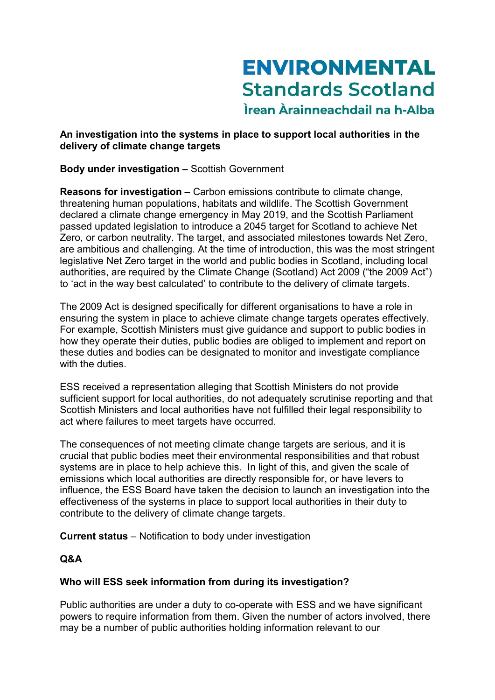# **ENVIRONMENTAL Standards Scotland** Ìrean Àrainneachdail na h-Alba

### An investigation into the systems in place to support local authorities in the delivery of climate change targets

## Body under investigation - Scottish Government

Reasons for investigation – Carbon emissions contribute to climate change, threatening human populations, habitats and wildlife. The Scottish Government declared a climate change emergency in May 2019, and the Scottish Parliament passed updated legislation to introduce a 2045 target for Scotland to achieve Net Zero, or carbon neutrality. The target, and associated milestones towards Net Zero, are ambitious and challenging. At the time of introduction, this was the most stringent legislative Net Zero target in the world and public bodies in Scotland, including local authorities, are required by the Climate Change (Scotland) Act 2009 ("the 2009 Act") to 'act in the way best calculated' to contribute to the delivery of climate targets.

The 2009 Act is designed specifically for different organisations to have a role in ensuring the system in place to achieve climate change targets operates effectively. For example, Scottish Ministers must give guidance and support to public bodies in how they operate their duties, public bodies are obliged to implement and report on these duties and bodies can be designated to monitor and investigate compliance with the duties.

ESS received a representation alleging that Scottish Ministers do not provide sufficient support for local authorities, do not adequately scrutinise reporting and that Scottish Ministers and local authorities have not fulfilled their legal responsibility to act where failures to meet targets have occurred.

The consequences of not meeting climate change targets are serious, and it is crucial that public bodies meet their environmental responsibilities and that robust systems are in place to help achieve this. In light of this, and given the scale of emissions which local authorities are directly responsible for, or have levers to influence, the ESS Board have taken the decision to launch an investigation into the effectiveness of the systems in place to support local authorities in their duty to contribute to the delivery of climate change targets.

Current status – Notification to body under investigation

# Q&A

### Who will ESS seek information from during its investigation?

Public authorities are under a duty to co-operate with ESS and we have significant powers to require information from them. Given the number of actors involved, there may be a number of public authorities holding information relevant to our